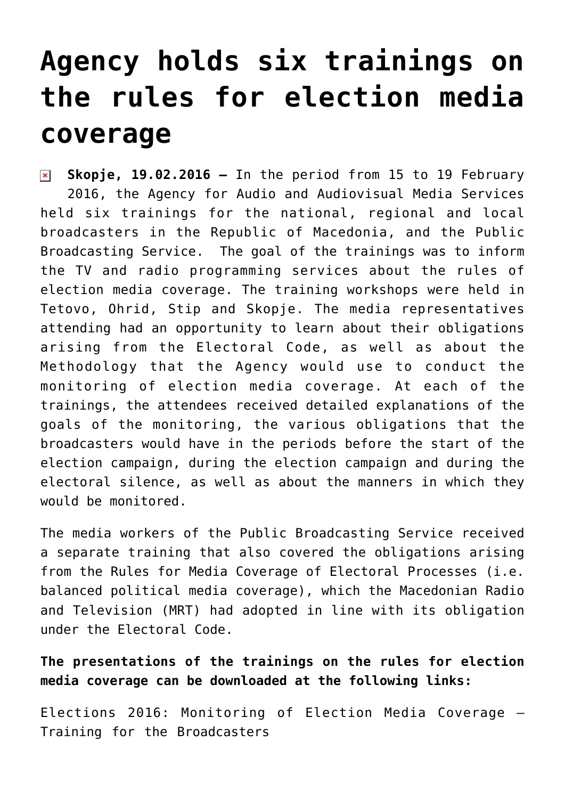## **[Agency holds six trainings on](https://avmu.mk/en/2016/02/19/agency-holds-six-trainings-on-the-rules-for-election-media-coverage/) [the rules for election media](https://avmu.mk/en/2016/02/19/agency-holds-six-trainings-on-the-rules-for-election-media-coverage/) [coverage](https://avmu.mk/en/2016/02/19/agency-holds-six-trainings-on-the-rules-for-election-media-coverage/)**

**Skopje, 19.02.2016 –** In the period from 15 to 19 February 2016, the Agency for Audio and Audiovisual Media Services held six trainings for the national, regional and local broadcasters in the Republic of Macedonia, and the Public Broadcasting Service. The goal of the trainings was to inform the TV and radio programming services about the rules of election media coverage. The training workshops were held in Tetovo, Ohrid, Stip and Skopje. The media representatives attending had an opportunity to learn about their obligations arising from the Electoral Code, as well as about the Methodology that the Agency would use to conduct the monitoring of election media coverage. At each of the trainings, the attendees received detailed explanations of the goals of the monitoring, the various obligations that the broadcasters would have in the periods before the start of the election campaign, during the election campaign and during the electoral silence, as well as about the manners in which they would be monitored.

The media workers of the Public Broadcasting Service received a separate training that also covered the obligations arising from the Rules for Media Coverage of Electoral Processes (i.e. balanced political media coverage), which the Macedonian Radio and Television (MRT) had adopted in line with its obligation under the Electoral Code.

**The presentations of the trainings on the rules for election media coverage can be downloaded at the following links:**

[Elections 2016: Monitoring of Election Media Coverage –](http://avmu.mk/wp-content/uploads/2017/05/Prezentacija_Izbori_komercijalni_radiodifuzeri.ppt) [Training for the Broadcasters](http://avmu.mk/wp-content/uploads/2017/05/Prezentacija_Izbori_komercijalni_radiodifuzeri.ppt)